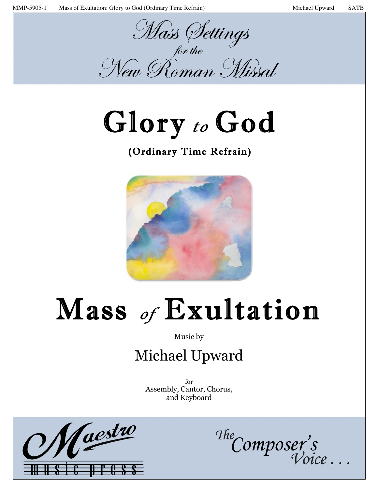

# Glory *to* God



# Mass *of* Exultation

Music by

# Michael Upward

for Assembly, Cantor, Chorus, and Keyboard

Maestro

The Composer's<br>Voice...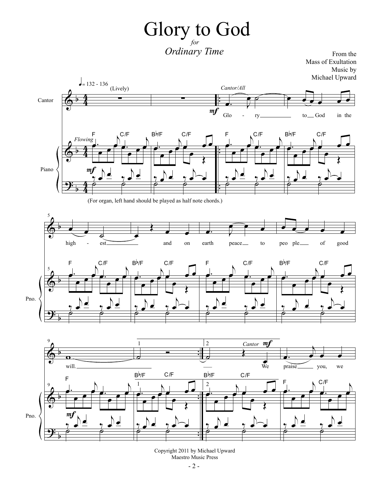### Glory to God *for Ordinary Time*

From the Mass of Exultation Music by Michael Upward



Copyright 2011 by Michael Upward Maestro Music Press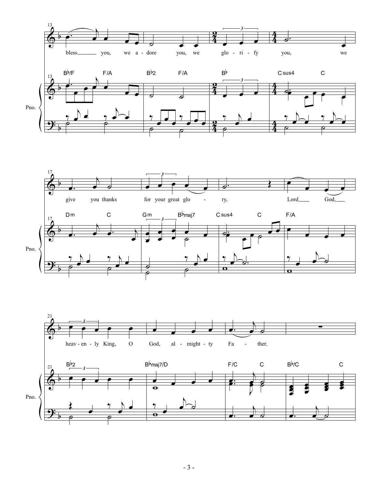



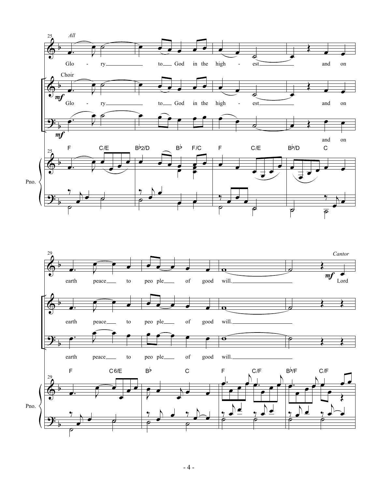

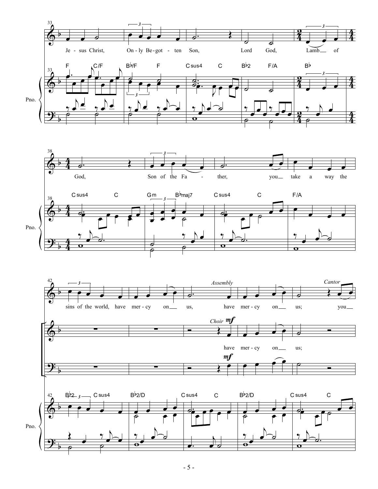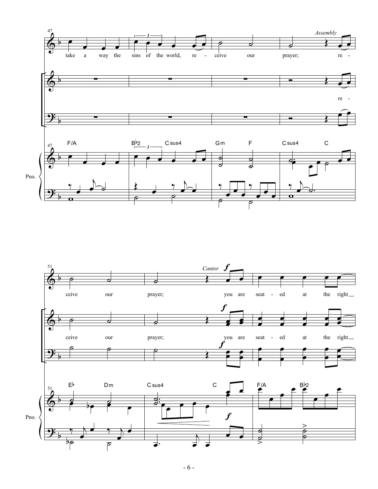

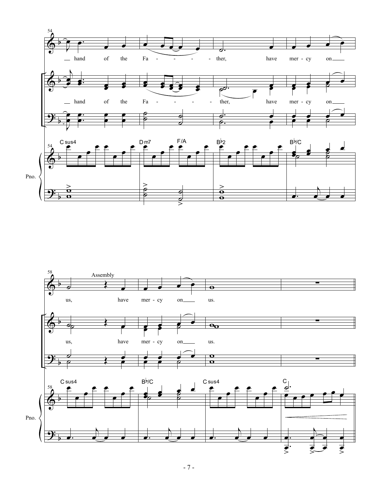

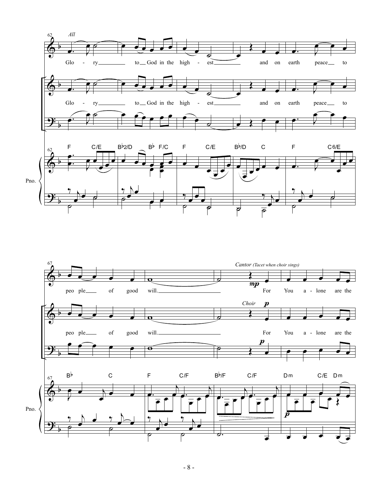

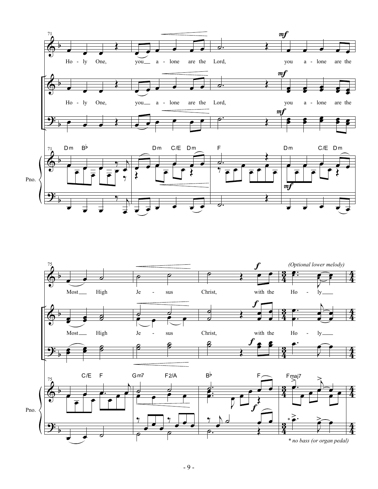

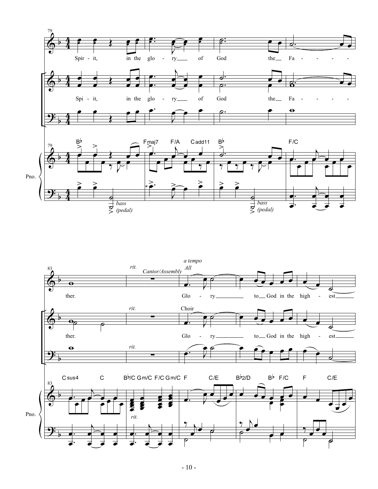

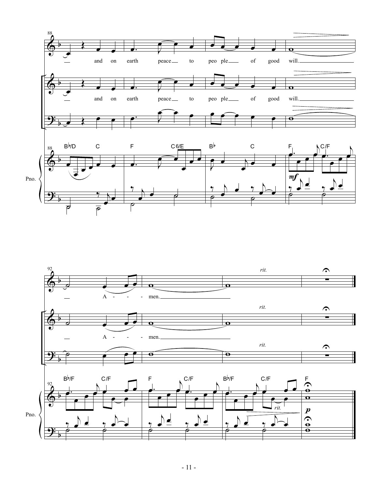